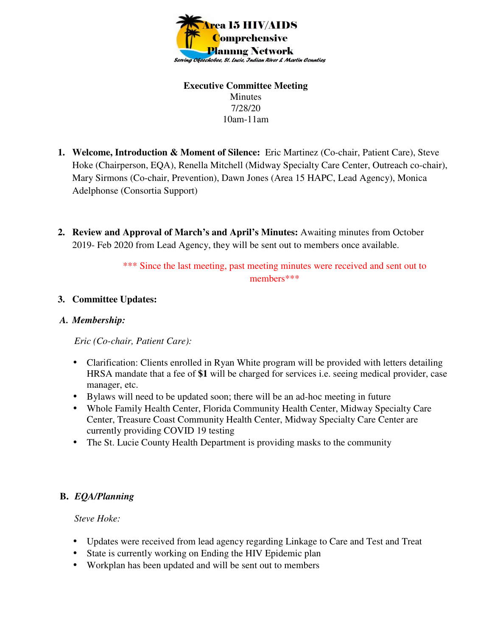

#### **Executive Committee Meeting**  Minutes 7/28/20 10am-11am

- **1. Welcome, Introduction & Moment of Silence:** Eric Martinez (Co-chair, Patient Care), Steve Hoke (Chairperson, EQA), Renella Mitchell (Midway Specialty Care Center, Outreach co-chair), Mary Sirmons (Co-chair, Prevention), Dawn Jones (Area 15 HAPC, Lead Agency), Monica Adelphonse (Consortia Support)
- **2. Review and Approval of March's and April's Minutes:** Awaiting minutes from October 2019- Feb 2020 from Lead Agency, they will be sent out to members once available.

\*\*\* Since the last meeting, past meeting minutes were received and sent out to members\*\*\*

## **3. Committee Updates:**

#### *A. Membership:*

*Eric (Co-chair, Patient Care):* 

- Clarification: Clients enrolled in Ryan White program will be provided with letters detailing HRSA mandate that a fee of **\$1** will be charged for services i.e. seeing medical provider, case manager, etc.
- Bylaws will need to be updated soon; there will be an ad-hoc meeting in future
- Whole Family Health Center, Florida Community Health Center, Midway Specialty Care Center, Treasure Coast Community Health Center, Midway Specialty Care Center are currently providing COVID 19 testing
- The St. Lucie County Health Department is providing masks to the community

## **B.** *EQA/Planning*

*Steve Hoke:* 

- Updates were received from lead agency regarding Linkage to Care and Test and Treat
- State is currently working on Ending the HIV Epidemic plan
- Workplan has been updated and will be sent out to members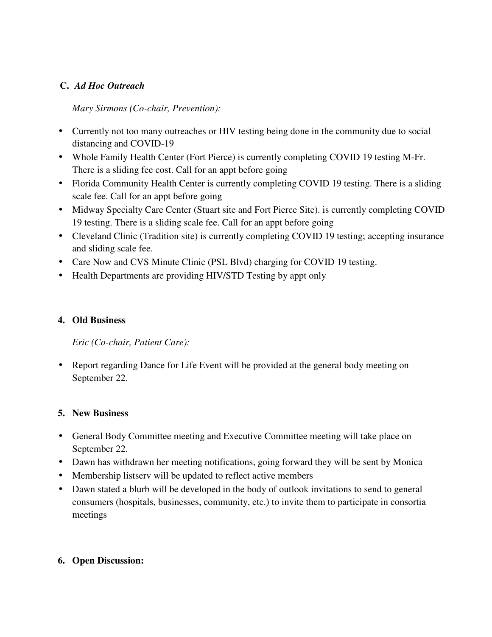# **C.** *Ad Hoc Outreach*

# *Mary Sirmons (Co-chair, Prevention):*

- Currently not too many outreaches or HIV testing being done in the community due to social distancing and COVID-19
- Whole Family Health Center (Fort Pierce) is currently completing COVID 19 testing M-Fr. There is a sliding fee cost. Call for an appt before going
- Florida Community Health Center is currently completing COVID 19 testing. There is a sliding scale fee. Call for an appt before going
- Midway Specialty Care Center (Stuart site and Fort Pierce Site). is currently completing COVID 19 testing. There is a sliding scale fee. Call for an appt before going
- Cleveland Clinic (Tradition site) is currently completing COVID 19 testing; accepting insurance and sliding scale fee.
- Care Now and CVS Minute Clinic (PSL Blvd) charging for COVID 19 testing.
- Health Departments are providing HIV/STD Testing by appt only

## **4. Old Business**

*Eric (Co-chair, Patient Care):* 

• Report regarding Dance for Life Event will be provided at the general body meeting on September 22.

## **5. New Business**

- General Body Committee meeting and Executive Committee meeting will take place on September 22.
- Dawn has withdrawn her meeting notifications, going forward they will be sent by Monica
- Membership listserv will be updated to reflect active members
- Dawn stated a blurb will be developed in the body of outlook invitations to send to general consumers (hospitals, businesses, community, etc.) to invite them to participate in consortia meetings

## **6. Open Discussion:**